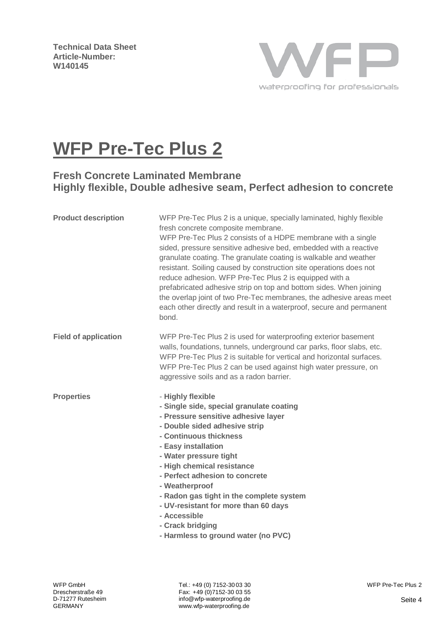**Technical Data Sheet Article-Number: W140145**



# **WFP Pre-Tec Plus 2**

# **Fresh Concrete Laminated Membrane Highly flexible, Double adhesive seam, Perfect adhesion to concrete**

| <b>Product description</b>  | WFP Pre-Tec Plus 2 is a unique, specially laminated, highly flexible<br>fresh concrete composite membrane.<br>WFP Pre-Tec Plus 2 consists of a HDPE membrane with a single<br>sided, pressure sensitive adhesive bed, embedded with a reactive<br>granulate coating. The granulate coating is walkable and weather<br>resistant. Soiling caused by construction site operations does not<br>reduce adhesion. WFP Pre-Tec Plus 2 is equipped with a<br>prefabricated adhesive strip on top and bottom sides. When joining<br>the overlap joint of two Pre-Tec membranes, the adhesive areas meet<br>each other directly and result in a waterproof, secure and permanent<br>bond. |
|-----------------------------|----------------------------------------------------------------------------------------------------------------------------------------------------------------------------------------------------------------------------------------------------------------------------------------------------------------------------------------------------------------------------------------------------------------------------------------------------------------------------------------------------------------------------------------------------------------------------------------------------------------------------------------------------------------------------------|
| <b>Field of application</b> | WFP Pre-Tec Plus 2 is used for waterproofing exterior basement<br>walls, foundations, tunnels, underground car parks, floor slabs, etc.<br>WFP Pre-Tec Plus 2 is suitable for vertical and horizontal surfaces.<br>WFP Pre-Tec Plus 2 can be used against high water pressure, on<br>aggressive soils and as a radon barrier.                                                                                                                                                                                                                                                                                                                                                    |
| <b>Properties</b>           | - Highly flexible<br>- Single side, special granulate coating<br>- Pressure sensitive adhesive layer<br>- Double sided adhesive strip<br>- Continuous thickness<br>- Easy installation<br>- Water pressure tight<br>- High chemical resistance<br>- Perfect adhesion to concrete<br>- Weatherproof<br>- Radon gas tight in the complete system<br>- UV-resistant for more than 60 days<br>- Accessible<br>- Crack bridging<br>- Harmless to ground water (no PVC)                                                                                                                                                                                                                |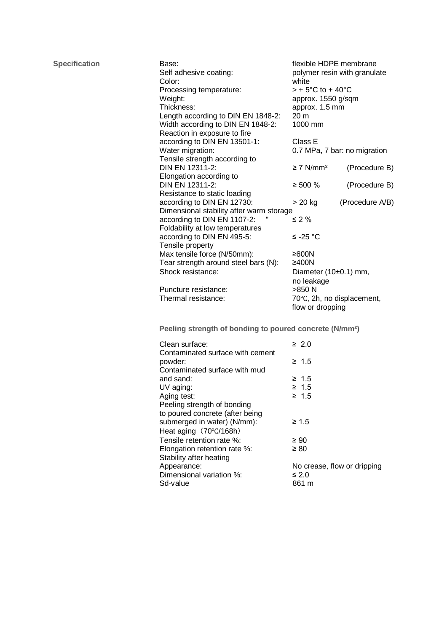| <b>Specification</b> | Base:<br>Self adhesive coating:<br>Color:                           | flexible HDPE membrane<br>polymer resin with granulate |                                                |  |  |
|----------------------|---------------------------------------------------------------------|--------------------------------------------------------|------------------------------------------------|--|--|
|                      | Processing temperature:                                             |                                                        | white<br>$> +5^{\circ}$ C to + 40 $^{\circ}$ C |  |  |
|                      | Weight:                                                             |                                                        |                                                |  |  |
|                      | Thickness:                                                          |                                                        | approx. 1550 g/sqm<br>approx. 1.5 mm           |  |  |
|                      | Length according to DIN EN 1848-2:                                  | 20 m                                                   |                                                |  |  |
|                      | Width according to DIN EN 1848-2:                                   | 1000 mm                                                |                                                |  |  |
|                      | Reaction in exposure to fire                                        |                                                        |                                                |  |  |
|                      | according to DIN EN 13501-1:                                        | Class E                                                |                                                |  |  |
|                      | Water migration:                                                    | 0.7 MPa, 7 bar: no migration                           |                                                |  |  |
|                      | Tensile strength according to                                       |                                                        |                                                |  |  |
|                      | DIN EN 12311-2:                                                     | $\geq$ 7 N/mm <sup>2</sup>                             | (Procedure B)                                  |  |  |
|                      | Elongation according to                                             |                                                        |                                                |  |  |
|                      | DIN EN 12311-2:<br>$\geq 500 \%$                                    |                                                        | (Procedure B)                                  |  |  |
|                      | Resistance to static loading                                        |                                                        |                                                |  |  |
|                      | according to DIN EN 12730:                                          | $> 20$ kg                                              | (Procedure A/B)                                |  |  |
|                      | Dimensional stability after warm storage                            |                                                        |                                                |  |  |
|                      | according to DIN EN 1107-2:                                         | $\leq 2\%$                                             |                                                |  |  |
|                      | Foldability at low temperatures                                     |                                                        |                                                |  |  |
|                      | according to DIN EN 495-5:                                          | $≤ -25 °C$                                             |                                                |  |  |
|                      | Tensile property                                                    |                                                        |                                                |  |  |
|                      | Max tensile force (N/50mm):                                         | $≥600N$                                                |                                                |  |  |
|                      | Tear strength around steel bars (N):                                | $\geq 400N$                                            |                                                |  |  |
|                      | Shock resistance:                                                   | Diameter $(10±0.1)$ mm,                                |                                                |  |  |
|                      |                                                                     | no leakage                                             |                                                |  |  |
|                      | Puncture resistance:                                                | >850 N                                                 |                                                |  |  |
|                      | Thermal resistance:                                                 | 70°C, 2h, no displacement,                             |                                                |  |  |
|                      | flow or dropping                                                    |                                                        |                                                |  |  |
|                      | Peeling strength of bonding to poured concrete (N/mm <sup>2</sup> ) |                                                        |                                                |  |  |
|                      | Clean surface:                                                      | $\geq 2.0$                                             |                                                |  |  |
|                      | Contaminated surface with cement                                    |                                                        |                                                |  |  |
|                      | powder:                                                             | $\geq 1.5$                                             |                                                |  |  |
|                      | Contaminated surface with mud                                       |                                                        |                                                |  |  |
|                      | and sand:                                                           | $\geq 1.5$                                             |                                                |  |  |
|                      | UV aging:                                                           | $\geq 1.5$                                             |                                                |  |  |
|                      | Aging test:                                                         | ≥ 1.5                                                  |                                                |  |  |
|                      | Peeling strength of bonding                                         |                                                        |                                                |  |  |
|                      | to poured concrete (after being                                     |                                                        |                                                |  |  |
|                      | submerged in water) (N/mm):                                         | $\geq 1.5$                                             |                                                |  |  |
|                      | Heat aging (70°C/168h)                                              |                                                        |                                                |  |  |
|                      | Tensile retention rate %:                                           | $\geq 90$                                              |                                                |  |  |
|                      | Elongation retention rate %:                                        | $\geq 80$                                              |                                                |  |  |
|                      | Stability after heating                                             |                                                        |                                                |  |  |
|                      | Appearance:                                                         | No crease, flow or dripping                            |                                                |  |  |
|                      | Dimensional variation %:                                            | $\leq 2.0$                                             |                                                |  |  |
|                      | Sd-value                                                            | 861 m                                                  |                                                |  |  |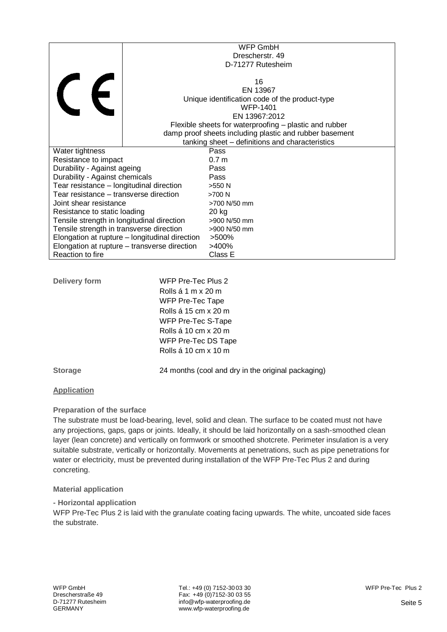|                                                                                               | <b>WFP GmbH</b>           |                                                         |  |  |
|-----------------------------------------------------------------------------------------------|---------------------------|---------------------------------------------------------|--|--|
|                                                                                               |                           | Drescherstr. 49                                         |  |  |
|                                                                                               |                           | D-71277 Rutesheim                                       |  |  |
|                                                                                               |                           |                                                         |  |  |
|                                                                                               |                           | 16                                                      |  |  |
|                                                                                               |                           | EN 13967                                                |  |  |
| <b>CE</b>                                                                                     |                           | Unique identification code of the product-type          |  |  |
|                                                                                               |                           | <b>WFP-1401</b>                                         |  |  |
|                                                                                               |                           | EN 13967:2012                                           |  |  |
|                                                                                               |                           | Flexible sheets for waterproofing – plastic and rubber  |  |  |
|                                                                                               |                           | damp proof sheets including plastic and rubber basement |  |  |
|                                                                                               |                           | tanking sheet – definitions and characteristics         |  |  |
| Water tightness                                                                               |                           | Pass                                                    |  |  |
| Resistance to impact                                                                          |                           | 0.7 <sub>m</sub>                                        |  |  |
| Durability - Against ageing                                                                   |                           | Pass                                                    |  |  |
| Durability - Against chemicals                                                                |                           | Pass                                                    |  |  |
| Tear resistance - longitudinal direction                                                      |                           | >550 N                                                  |  |  |
| Tear resistance – transverse direction                                                        |                           | >700 N                                                  |  |  |
| Joint shear resistance                                                                        |                           | >700 N/50 mm                                            |  |  |
| Resistance to static loading                                                                  |                           | 20 kg                                                   |  |  |
| Tensile strength in longitudinal direction                                                    |                           | >900 N/50 mm                                            |  |  |
| Tensile strength in transverse direction                                                      |                           | >900 N/50 mm                                            |  |  |
| Elongation at rupture - longitudinal direction                                                |                           | >500%                                                   |  |  |
| Elongation at rupture - transverse direction                                                  |                           | >400%                                                   |  |  |
| Reaction to fire                                                                              |                           | Class E                                                 |  |  |
|                                                                                               |                           |                                                         |  |  |
|                                                                                               |                           |                                                         |  |  |
| <b>Delivery form</b>                                                                          | <b>WFP Pre-Tec Plus 2</b> |                                                         |  |  |
|                                                                                               | Rolls á 1 m x 20 m        |                                                         |  |  |
| <b>WFP Pre-Tec Tape</b><br>Rolls á 15 cm x 20 m<br>WFP Pre-Tec S-Tape<br>Rolls á 10 cm x 20 m |                           |                                                         |  |  |
|                                                                                               |                           |                                                         |  |  |
|                                                                                               |                           |                                                         |  |  |
|                                                                                               |                           |                                                         |  |  |
|                                                                                               |                           |                                                         |  |  |
|                                                                                               | WFP Pre-Tec DS Tape       |                                                         |  |  |

**Storage** 24 months (cool and dry in the original packaging)

Rolls á 10 cm x 10 m

# **Application**

# **Preparation of the surface**

The substrate must be load-bearing, level, solid and clean. The surface to be coated must not have any projections, gaps, gaps or joints. Ideally, it should be laid horizontally on a sash-smoothed clean layer (lean concrete) and vertically on formwork or smoothed shotcrete. Perimeter insulation is a very suitable substrate, vertically or horizontally. Movements at penetrations, such as pipe penetrations for water or electricity, must be prevented during installation of the WFP Pre-Tec Plus 2 and during concreting.

# **Material application**

**- Horizontal application**

WFP Pre-Tec Plus 2 is laid with the granulate coating facing upwards. The white, uncoated side faces the substrate.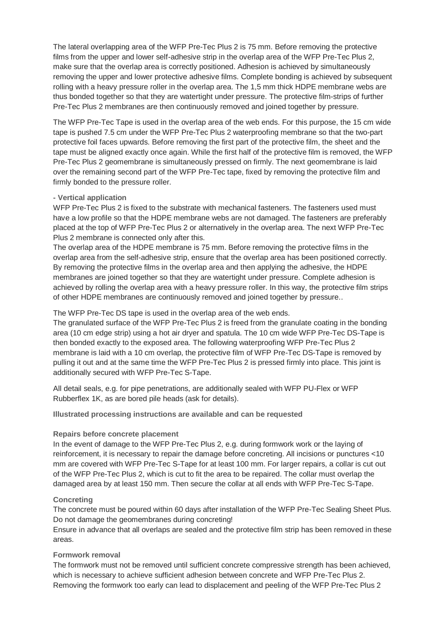The lateral overlapping area of the WFP Pre-Tec Plus 2 is 75 mm. Before removing the protective films from the upper and lower self-adhesive strip in the overlap area of the WFP Pre-Tec Plus 2, make sure that the overlap area is correctly positioned. Adhesion is achieved by simultaneously removing the upper and lower protective adhesive films. Complete bonding is achieved by subsequent rolling with a heavy pressure roller in the overlap area. The 1,5 mm thick HDPE membrane webs are thus bonded together so that they are watertight under pressure. The protective film-strips of further Pre-Tec Plus 2 membranes are then continuously removed and joined together by pressure.

The WFP Pre-Tec Tape is used in the overlap area of the web ends. For this purpose, the 15 cm wide tape is pushed 7.5 cm under the WFP Pre-Tec Plus 2 waterproofing membrane so that the two-part protective foil faces upwards. Before removing the first part of the protective film, the sheet and the tape must be aligned exactly once again. While the first half of the protective film is removed, the WFP Pre-Tec Plus 2 geomembrane is simultaneously pressed on firmly. The next geomembrane is laid over the remaining second part of the WFP Pre-Tec tape, fixed by removing the protective film and firmly bonded to the pressure roller.

#### **- Vertical application**

WFP Pre-Tec Plus 2 is fixed to the substrate with mechanical fasteners. The fasteners used must have a low profile so that the HDPE membrane webs are not damaged. The fasteners are preferably placed at the top of WFP Pre-Tec Plus 2 or alternatively in the overlap area. The next WFP Pre-Tec Plus 2 membrane is connected only after this.

The overlap area of the HDPE membrane is 75 mm. Before removing the protective films in the overlap area from the self-adhesive strip, ensure that the overlap area has been positioned correctly. By removing the protective films in the overlap area and then applying the adhesive, the HDPE membranes are joined together so that they are watertight under pressure. Complete adhesion is achieved by rolling the overlap area with a heavy pressure roller. In this way, the protective film strips of other HDPE membranes are continuously removed and joined together by pressure..

#### The WFP Pre-Tec DS tape is used in the overlap area of the web ends.

The granulated surface of the WFP Pre-Tec Plus 2 is freed from the granulate coating in the bonding area (10 cm edge strip) using a hot air dryer and spatula. The 10 cm wide WFP Pre-Tec DS-Tape is then bonded exactly to the exposed area. The following waterproofing WFP Pre-Tec Plus 2 membrane is laid with a 10 cm overlap, the protective film of WFP Pre-Tec DS-Tape is removed by pulling it out and at the same time the WFP Pre-Tec Plus 2 is pressed firmly into place. This joint is additionally secured with WFP Pre-Tec S-Tape.

All detail seals, e.g. for pipe penetrations, are additionally sealed with WFP PU-Flex or WFP Rubberflex 1K, as are bored pile heads (ask for details).

**Illustrated processing instructions are available and can be requested**

#### **Repairs before concrete placement**

In the event of damage to the WFP Pre-Tec Plus 2, e.g. during formwork work or the laying of reinforcement, it is necessary to repair the damage before concreting. All incisions or punctures <10 mm are covered with WFP Pre-Tec S-Tape for at least 100 mm. For larger repairs, a collar is cut out of the WFP Pre-Tec Plus 2, which is cut to fit the area to be repaired. The collar must overlap the damaged area by at least 150 mm. Then secure the collar at all ends with WFP Pre-Tec S-Tape.

#### **Concreting**

The concrete must be poured within 60 days after installation of the WFP Pre-Tec Sealing Sheet Plus. Do not damage the geomembranes during concreting!

Ensure in advance that all overlaps are sealed and the protective film strip has been removed in these areas.

### **Formwork removal**

The formwork must not be removed until sufficient concrete compressive strength has been achieved, which is necessary to achieve sufficient adhesion between concrete and WFP Pre-Tec Plus 2. Removing the formwork too early can lead to displacement and peeling of the WFP Pre-Tec Plus 2